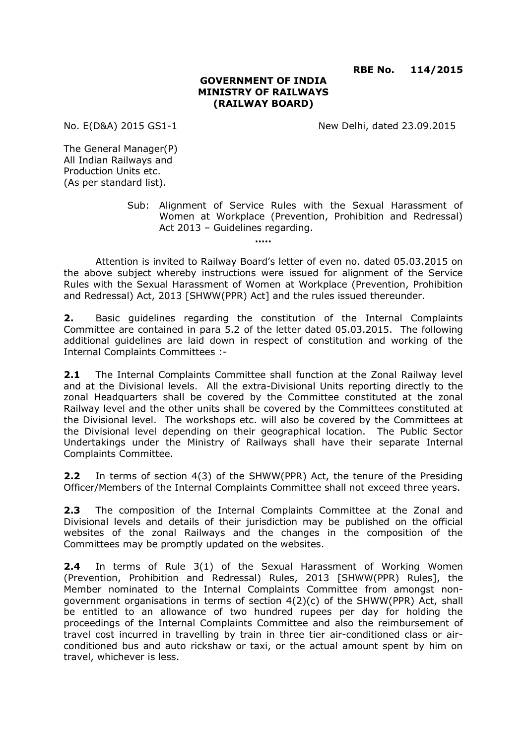**RBE No. 114/2015**

#### **GOVERNMENT OF INDIA MINISTRY OF RAILWAYS (RAILWAY BOARD)**

No. E(D&A) 2015 GS1-1 New Delhi, dated 23.09.2015

The General Manager(P) All Indian Railways and Production Units etc. (As per standard list).

> Sub: Alignment of Service Rules with the Sexual Harassment of Women at Workplace (Prevention, Prohibition and Redressal) Act 2013 – Guidelines regarding.

Attention is invited to Railway Board's letter of even no. dated 05.03.2015 on the above subject whereby instructions were issued for alignment of the Service Rules with the Sexual Harassment of Women at Workplace (Prevention, Prohibition and Redressal) Act, 2013 [SHWW(PPR) Act] and the rules issued thereunder.

**…..**

**2.** Basic guidelines regarding the constitution of the Internal Complaints Committee are contained in para 5.2 of the letter dated 05.03.2015. The following additional guidelines are laid down in respect of constitution and working of the Internal Complaints Committees :-

**2.1** The Internal Complaints Committee shall function at the Zonal Railway level and at the Divisional levels. All the extra-Divisional Units reporting directly to the zonal Headquarters shall be covered by the Committee constituted at the zonal Railway level and the other units shall be covered by the Committees constituted at the Divisional level. The workshops etc. will also be covered by the Committees at the Divisional level depending on their geographical location. The Public Sector Undertakings under the Ministry of Railways shall have their separate Internal Complaints Committee.

**2.2** In terms of section 4(3) of the SHWW(PPR) Act, the tenure of the Presiding Officer/Members of the Internal Complaints Committee shall not exceed three years.

**2.3** The composition of the Internal Complaints Committee at the Zonal and Divisional levels and details of their jurisdiction may be published on the official websites of the zonal Railways and the changes in the composition of the Committees may be promptly updated on the websites.

**2.4** In terms of Rule 3(1) of the Sexual Harassment of Working Women (Prevention, Prohibition and Redressal) Rules, 2013 [SHWW(PPR) Rules], the Member nominated to the Internal Complaints Committee from amongst nongovernment organisations in terms of section 4(2)(c) of the SHWW(PPR) Act, shall be entitled to an allowance of two hundred rupees per day for holding the proceedings of the Internal Complaints Committee and also the reimbursement of travel cost incurred in travelling by train in three tier air-conditioned class or airconditioned bus and auto rickshaw or taxi, or the actual amount spent by him on travel, whichever is less.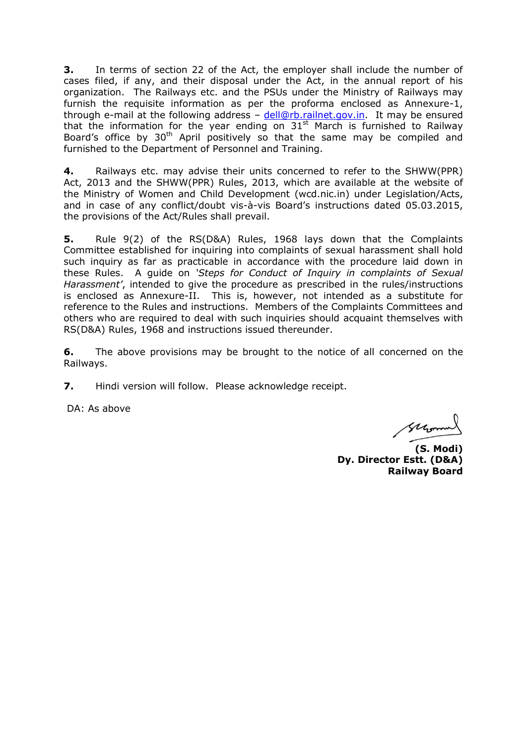**3.** In terms of section 22 of the Act, the employer shall include the number of cases filed, if any, and their disposal under the Act, in the annual report of his organization. The Railways etc. and the PSUs under the Ministry of Railways may furnish the requisite information as per the proforma enclosed as Annexure-1, through e-mail at the following address - [dell@rb.railnet.gov.in.](mailto:dell@rb.railnet.gov.in) It may be ensured that the information for the year ending on  $31<sup>st</sup>$  March is furnished to Railway Board's office by  $30<sup>th</sup>$  April positively so that the same may be compiled and furnished to the Department of Personnel and Training.

**4.** Railways etc. may advise their units concerned to refer to the SHWW(PPR) Act, 2013 and the SHWW(PPR) Rules, 2013, which are available at the website of the Ministry of Women and Child Development (wcd.nic.in) under Legislation/Acts, and in case of any conflict/doubt vis-à-vis Board's instructions dated 05.03.2015, the provisions of the Act/Rules shall prevail.

**5.** Rule 9(2) of the RS(D&A) Rules, 1968 lays down that the Complaints Committee established for inquiring into complaints of sexual harassment shall hold such inquiry as far as practicable in accordance with the procedure laid down in these Rules. A guide on *'Steps for Conduct of Inquiry in complaints of Sexual Harassment'*, intended to give the procedure as prescribed in the rules/instructions is enclosed as Annexure-II. This is, however, not intended as a substitute for reference to the Rules and instructions. Members of the Complaints Committees and others who are required to deal with such inquiries should acquaint themselves with RS(D&A) Rules, 1968 and instructions issued thereunder.

**6.** The above provisions may be brought to the notice of all concerned on the Railways.

**7.** Hindi version will follow. Please acknowledge receipt.

DA: As above

Glyman

**(S. Modi) Dy. Director Estt. (D&A) Railway Board**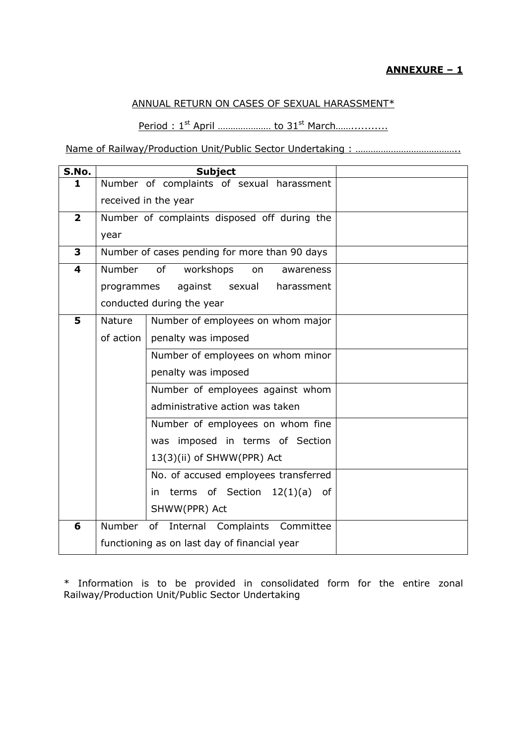## ANNUAL RETURN ON CASES OF SEXUAL HARASSMENT\*

Period : 1<sup>st</sup> April .................... to 31<sup>st</sup> March...................

Name of Railway/Production Unit/Public Sector Undertaking : ……………………………………………………

| S.No.                   |                                               | <b>Subject</b>                            |  |
|-------------------------|-----------------------------------------------|-------------------------------------------|--|
| 1                       |                                               | Number of complaints of sexual harassment |  |
|                         |                                               | received in the year                      |  |
| $\overline{\mathbf{2}}$ | Number of complaints disposed off during the  |                                           |  |
|                         | year                                          |                                           |  |
| 3                       | Number of cases pending for more than 90 days |                                           |  |
| 4                       | Number                                        | of<br>workshops<br>on<br>awareness        |  |
|                         | programmes                                    | against<br>sexual<br>harassment           |  |
|                         | conducted during the year                     |                                           |  |
| 5                       | <b>Nature</b>                                 | Number of employees on whom major         |  |
|                         | of action                                     | penalty was imposed                       |  |
|                         |                                               | Number of employees on whom minor         |  |
|                         |                                               | penalty was imposed                       |  |
|                         |                                               | Number of employees against whom          |  |
|                         |                                               | administrative action was taken           |  |
|                         |                                               | Number of employees on whom fine          |  |
|                         |                                               | was imposed in terms of Section           |  |
|                         |                                               | 13(3)(ii) of SHWW(PPR) Act                |  |
|                         |                                               | No. of accused employees transferred      |  |
|                         |                                               | terms of Section $12(1)(a)$ of<br>in.     |  |
|                         |                                               | SHWW(PPR) Act                             |  |
| 6                       | Number                                        | of Internal Complaints<br>Committee       |  |
|                         | functioning as on last day of financial year  |                                           |  |

\* Information is to be provided in consolidated form for the entire zonal Railway/Production Unit/Public Sector Undertaking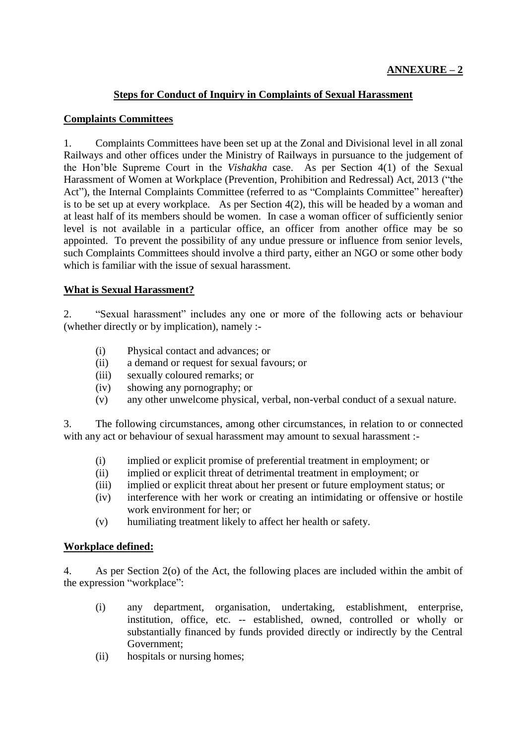## **Steps for Conduct of Inquiry in Complaints of Sexual Harassment**

#### **Complaints Committees**

1. Complaints Committees have been set up at the Zonal and Divisional level in all zonal Railways and other offices under the Ministry of Railways in pursuance to the judgement of the Hon'ble Supreme Court in the *Vishakha* case. As per Section 4(1) of the Sexual Harassment of Women at Workplace (Prevention, Prohibition and Redressal) Act, 2013 ("the Act"), the Internal Complaints Committee (referred to as "Complaints Committee" hereafter) is to be set up at every workplace. As per Section 4(2), this will be headed by a woman and at least half of its members should be women. In case a woman officer of sufficiently senior level is not available in a particular office, an officer from another office may be so appointed. To prevent the possibility of any undue pressure or influence from senior levels, such Complaints Committees should involve a third party, either an NGO or some other body which is familiar with the issue of sexual harassment.

#### **What is Sexual Harassment?**

2. "Sexual harassment" includes any one or more of the following acts or behaviour (whether directly or by implication), namely :-

- (i) Physical contact and advances; or
- (ii) a demand or request for sexual favours; or
- (iii) sexually coloured remarks; or
- (iv) showing any pornography; or
- (v) any other unwelcome physical, verbal, non-verbal conduct of a sexual nature.

3. The following circumstances, among other circumstances, in relation to or connected with any act or behaviour of sexual harassment may amount to sexual harassment :-

- (i) implied or explicit promise of preferential treatment in employment; or
- (ii) implied or explicit threat of detrimental treatment in employment; or
- (iii) implied or explicit threat about her present or future employment status; or
- (iv) interference with her work or creating an intimidating or offensive or hostile work environment for her; or
- (v) humiliating treatment likely to affect her health or safety.

## **Workplace defined:**

4. As per Section 2(o) of the Act, the following places are included within the ambit of the expression "workplace":

- (i) any department, organisation, undertaking, establishment, enterprise, institution, office, etc. -- established, owned, controlled or wholly or substantially financed by funds provided directly or indirectly by the Central Government;
- (ii) hospitals or nursing homes;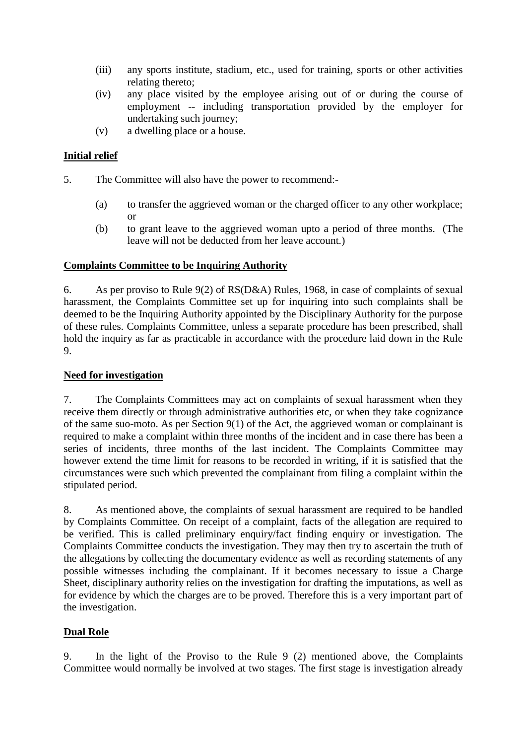- (iii) any sports institute, stadium, etc., used for training, sports or other activities relating thereto;
- (iv) any place visited by the employee arising out of or during the course of employment -- including transportation provided by the employer for undertaking such journey;
- (v) a dwelling place or a house.

## **Initial relief**

- 5. The Committee will also have the power to recommend:-
	- (a) to transfer the aggrieved woman or the charged officer to any other workplace; or
	- (b) to grant leave to the aggrieved woman upto a period of three months. (The leave will not be deducted from her leave account.)

## **Complaints Committee to be Inquiring Authority**

6. As per proviso to Rule 9(2) of RS(D&A) Rules, 1968, in case of complaints of sexual harassment, the Complaints Committee set up for inquiring into such complaints shall be deemed to be the Inquiring Authority appointed by the Disciplinary Authority for the purpose of these rules. Complaints Committee, unless a separate procedure has been prescribed, shall hold the inquiry as far as practicable in accordance with the procedure laid down in the Rule 9.

#### **Need for investigation**

7. The Complaints Committees may act on complaints of sexual harassment when they receive them directly or through administrative authorities etc, or when they take cognizance of the same suo-moto. As per Section 9(1) of the Act, the aggrieved woman or complainant is required to make a complaint within three months of the incident and in case there has been a series of incidents, three months of the last incident. The Complaints Committee may however extend the time limit for reasons to be recorded in writing, if it is satisfied that the circumstances were such which prevented the complainant from filing a complaint within the stipulated period.

8. As mentioned above, the complaints of sexual harassment are required to be handled by Complaints Committee. On receipt of a complaint, facts of the allegation are required to be verified. This is called preliminary enquiry/fact finding enquiry or investigation. The Complaints Committee conducts the investigation. They may then try to ascertain the truth of the allegations by collecting the documentary evidence as well as recording statements of any possible witnesses including the complainant. If it becomes necessary to issue a Charge Sheet, disciplinary authority relies on the investigation for drafting the imputations, as well as for evidence by which the charges are to be proved. Therefore this is a very important part of the investigation.

## **Dual Role**

9. In the light of the Proviso to the Rule 9 (2) mentioned above, the Complaints Committee would normally be involved at two stages. The first stage is investigation already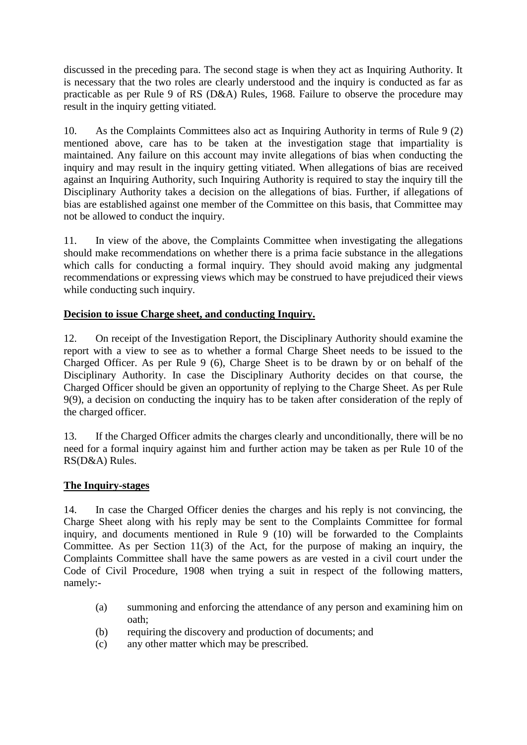discussed in the preceding para. The second stage is when they act as Inquiring Authority. It is necessary that the two roles are clearly understood and the inquiry is conducted as far as practicable as per Rule 9 of RS (D&A) Rules, 1968. Failure to observe the procedure may result in the inquiry getting vitiated.

10. As the Complaints Committees also act as Inquiring Authority in terms of Rule 9 (2) mentioned above, care has to be taken at the investigation stage that impartiality is maintained. Any failure on this account may invite allegations of bias when conducting the inquiry and may result in the inquiry getting vitiated. When allegations of bias are received against an Inquiring Authority, such Inquiring Authority is required to stay the inquiry till the Disciplinary Authority takes a decision on the allegations of bias. Further, if allegations of bias are established against one member of the Committee on this basis, that Committee may not be allowed to conduct the inquiry.

11. In view of the above, the Complaints Committee when investigating the allegations should make recommendations on whether there is a prima facie substance in the allegations which calls for conducting a formal inquiry. They should avoid making any judgmental recommendations or expressing views which may be construed to have prejudiced their views while conducting such inquiry.

## **Decision to issue Charge sheet, and conducting Inquiry.**

12. On receipt of the Investigation Report, the Disciplinary Authority should examine the report with a view to see as to whether a formal Charge Sheet needs to be issued to the Charged Officer. As per Rule 9 (6), Charge Sheet is to be drawn by or on behalf of the Disciplinary Authority. In case the Disciplinary Authority decides on that course, the Charged Officer should be given an opportunity of replying to the Charge Sheet. As per Rule 9(9), a decision on conducting the inquiry has to be taken after consideration of the reply of the charged officer.

13. If the Charged Officer admits the charges clearly and unconditionally, there will be no need for a formal inquiry against him and further action may be taken as per Rule 10 of the RS(D&A) Rules.

## **The Inquiry-stages**

14. In case the Charged Officer denies the charges and his reply is not convincing, the Charge Sheet along with his reply may be sent to the Complaints Committee for formal inquiry, and documents mentioned in Rule 9 (10) will be forwarded to the Complaints Committee. As per Section 11(3) of the Act, for the purpose of making an inquiry, the Complaints Committee shall have the same powers as are vested in a civil court under the Code of Civil Procedure, 1908 when trying a suit in respect of the following matters, namely:-

- (a) summoning and enforcing the attendance of any person and examining him on oath;
- (b) requiring the discovery and production of documents; and
- (c) any other matter which may be prescribed.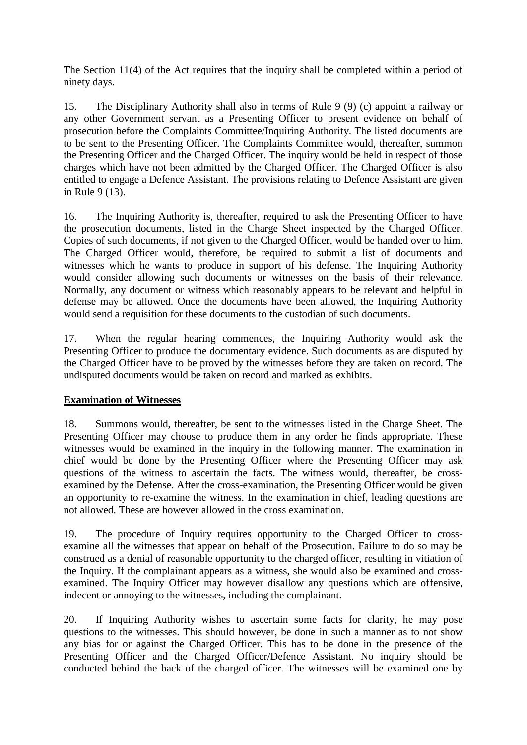The Section 11(4) of the Act requires that the inquiry shall be completed within a period of ninety days.

15. The Disciplinary Authority shall also in terms of Rule 9 (9) (c) appoint a railway or any other Government servant as a Presenting Officer to present evidence on behalf of prosecution before the Complaints Committee/Inquiring Authority. The listed documents are to be sent to the Presenting Officer. The Complaints Committee would, thereafter, summon the Presenting Officer and the Charged Officer. The inquiry would be held in respect of those charges which have not been admitted by the Charged Officer. The Charged Officer is also entitled to engage a Defence Assistant. The provisions relating to Defence Assistant are given in Rule 9 (13).

16. The Inquiring Authority is, thereafter, required to ask the Presenting Officer to have the prosecution documents, listed in the Charge Sheet inspected by the Charged Officer. Copies of such documents, if not given to the Charged Officer, would be handed over to him. The Charged Officer would, therefore, be required to submit a list of documents and witnesses which he wants to produce in support of his defense. The Inquiring Authority would consider allowing such documents or witnesses on the basis of their relevance. Normally, any document or witness which reasonably appears to be relevant and helpful in defense may be allowed. Once the documents have been allowed, the Inquiring Authority would send a requisition for these documents to the custodian of such documents.

17. When the regular hearing commences, the Inquiring Authority would ask the Presenting Officer to produce the documentary evidence. Such documents as are disputed by the Charged Officer have to be proved by the witnesses before they are taken on record. The undisputed documents would be taken on record and marked as exhibits.

## **Examination of Witnesses**

18. Summons would, thereafter, be sent to the witnesses listed in the Charge Sheet. The Presenting Officer may choose to produce them in any order he finds appropriate. These witnesses would be examined in the inquiry in the following manner. The examination in chief would be done by the Presenting Officer where the Presenting Officer may ask questions of the witness to ascertain the facts. The witness would, thereafter, be crossexamined by the Defense. After the cross-examination, the Presenting Officer would be given an opportunity to re-examine the witness. In the examination in chief, leading questions are not allowed. These are however allowed in the cross examination.

19. The procedure of Inquiry requires opportunity to the Charged Officer to crossexamine all the witnesses that appear on behalf of the Prosecution. Failure to do so may be construed as a denial of reasonable opportunity to the charged officer, resulting in vitiation of the Inquiry. If the complainant appears as a witness, she would also be examined and crossexamined. The Inquiry Officer may however disallow any questions which are offensive, indecent or annoying to the witnesses, including the complainant.

20. If Inquiring Authority wishes to ascertain some facts for clarity, he may pose questions to the witnesses. This should however, be done in such a manner as to not show any bias for or against the Charged Officer. This has to be done in the presence of the Presenting Officer and the Charged Officer/Defence Assistant. No inquiry should be conducted behind the back of the charged officer. The witnesses will be examined one by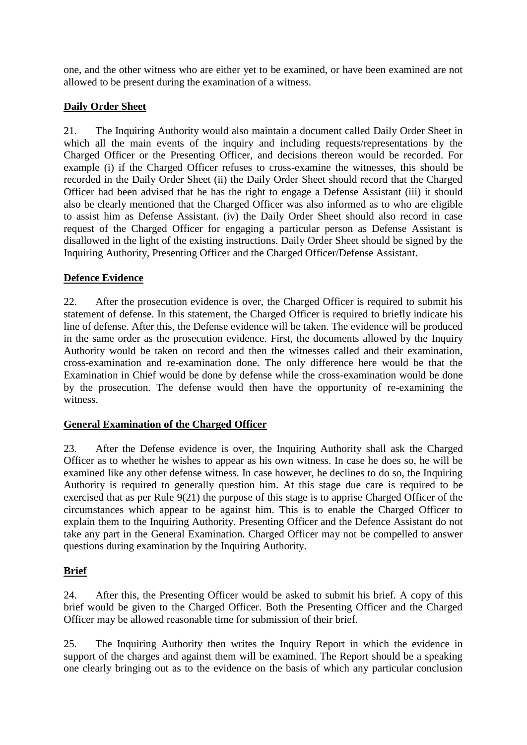one, and the other witness who are either yet to be examined, or have been examined are not allowed to be present during the examination of a witness.

# **Daily Order Sheet**

21. The Inquiring Authority would also maintain a document called Daily Order Sheet in which all the main events of the inquiry and including requests/representations by the Charged Officer or the Presenting Officer, and decisions thereon would be recorded. For example (i) if the Charged Officer refuses to cross-examine the witnesses, this should be recorded in the Daily Order Sheet (ii) the Daily Order Sheet should record that the Charged Officer had been advised that he has the right to engage a Defense Assistant (iii) it should also be clearly mentioned that the Charged Officer was also informed as to who are eligible to assist him as Defense Assistant. (iv) the Daily Order Sheet should also record in case request of the Charged Officer for engaging a particular person as Defense Assistant is disallowed in the light of the existing instructions. Daily Order Sheet should be signed by the Inquiring Authority, Presenting Officer and the Charged Officer/Defense Assistant.

## **Defence Evidence**

22. After the prosecution evidence is over, the Charged Officer is required to submit his statement of defense. In this statement, the Charged Officer is required to briefly indicate his line of defense. After this, the Defense evidence will be taken. The evidence will be produced in the same order as the prosecution evidence. First, the documents allowed by the Inquiry Authority would be taken on record and then the witnesses called and their examination, cross-examination and re-examination done. The only difference here would be that the Examination in Chief would be done by defense while the cross-examination would be done by the prosecution. The defense would then have the opportunity of re-examining the witness.

## **General Examination of the Charged Officer**

23. After the Defense evidence is over, the Inquiring Authority shall ask the Charged Officer as to whether he wishes to appear as his own witness. In case he does so, he will be examined like any other defense witness. In case however, he declines to do so, the Inquiring Authority is required to generally question him. At this stage due care is required to be exercised that as per Rule 9(21) the purpose of this stage is to apprise Charged Officer of the circumstances which appear to be against him. This is to enable the Charged Officer to explain them to the Inquiring Authority. Presenting Officer and the Defence Assistant do not take any part in the General Examination. Charged Officer may not be compelled to answer questions during examination by the Inquiring Authority.

## **Brief**

24. After this, the Presenting Officer would be asked to submit his brief. A copy of this brief would be given to the Charged Officer. Both the Presenting Officer and the Charged Officer may be allowed reasonable time for submission of their brief.

25. The Inquiring Authority then writes the Inquiry Report in which the evidence in support of the charges and against them will be examined. The Report should be a speaking one clearly bringing out as to the evidence on the basis of which any particular conclusion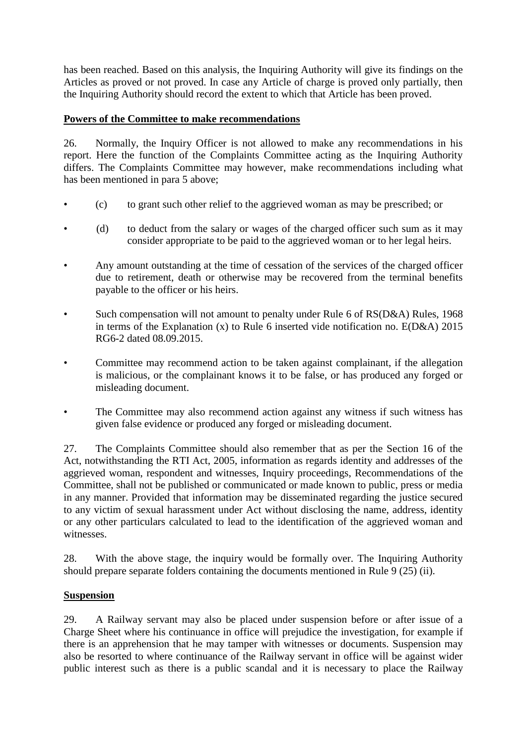has been reached. Based on this analysis, the Inquiring Authority will give its findings on the Articles as proved or not proved. In case any Article of charge is proved only partially, then the Inquiring Authority should record the extent to which that Article has been proved.

## **Powers of the Committee to make recommendations**

26. Normally, the Inquiry Officer is not allowed to make any recommendations in his report. Here the function of the Complaints Committee acting as the Inquiring Authority differs. The Complaints Committee may however, make recommendations including what has been mentioned in para 5 above;

- (c) to grant such other relief to the aggrieved woman as may be prescribed; or
- (d) to deduct from the salary or wages of the charged officer such sum as it may consider appropriate to be paid to the aggrieved woman or to her legal heirs.
- Any amount outstanding at the time of cessation of the services of the charged officer due to retirement, death or otherwise may be recovered from the terminal benefits payable to the officer or his heirs.
- Such compensation will not amount to penalty under Rule 6 of RS(D&A) Rules, 1968 in terms of the Explanation (x) to Rule 6 inserted vide notification no. E(D&A) 2015 RG6-2 dated 08.09.2015.
- Committee may recommend action to be taken against complainant, if the allegation is malicious, or the complainant knows it to be false, or has produced any forged or misleading document.
- The Committee may also recommend action against any witness if such witness has given false evidence or produced any forged or misleading document.

27. The Complaints Committee should also remember that as per the Section 16 of the Act, notwithstanding the RTI Act, 2005, information as regards identity and addresses of the aggrieved woman, respondent and witnesses, Inquiry proceedings, Recommendations of the Committee, shall not be published or communicated or made known to public, press or media in any manner. Provided that information may be disseminated regarding the justice secured to any victim of sexual harassment under Act without disclosing the name, address, identity or any other particulars calculated to lead to the identification of the aggrieved woman and witnesses.

28. With the above stage, the inquiry would be formally over. The Inquiring Authority should prepare separate folders containing the documents mentioned in Rule 9 (25) (ii).

## **Suspension**

29. A Railway servant may also be placed under suspension before or after issue of a Charge Sheet where his continuance in office will prejudice the investigation, for example if there is an apprehension that he may tamper with witnesses or documents. Suspension may also be resorted to where continuance of the Railway servant in office will be against wider public interest such as there is a public scandal and it is necessary to place the Railway